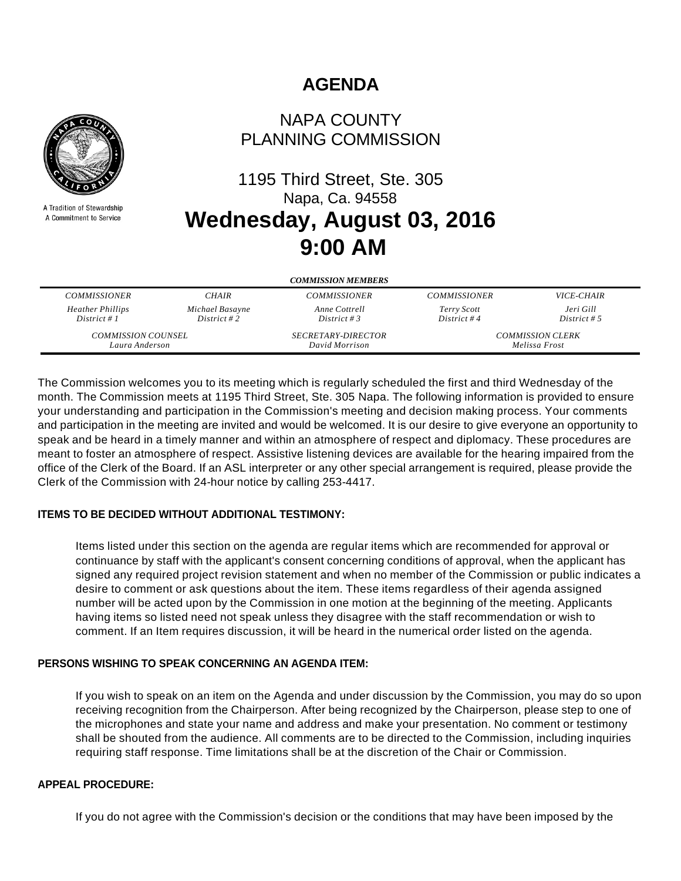# **AGENDA**



A Tradition of Stewardship A Commitment to Service

## NAPA COUNTY PLANNING COMMISSION

# 1195 Third Street, Ste. 305 Napa, Ca. 94558 **Wednesday, August 03, 2016 9:00 AM**

| <b>COMMISSION MEMBERS</b> |                 |                           |                         |                   |
|---------------------------|-----------------|---------------------------|-------------------------|-------------------|
| <b>COMMISSIONER</b>       | <b>CHAIR</b>    | <b>COMMISSIONER</b>       | <b>COMMISSIONER</b>     | <i>VICE-CHAIR</i> |
| <b>Heather Phillips</b>   | Michael Basayne | Anne Cottrell             | Terry Scott             | Jeri Gill         |
| District # $1$            | District #2     | District # 3              | District #4             | District # 5      |
| <b>COMMISSION COUNSEL</b> |                 | <b>SECRETARY-DIRECTOR</b> | <b>COMMISSION CLERK</b> |                   |
| Laura Anderson            |                 | David Morrison            | Melissa Frost           |                   |

The Commission welcomes you to its meeting which is regularly scheduled the first and third Wednesday of the month. The Commission meets at 1195 Third Street, Ste. 305 Napa. The following information is provided to ensure your understanding and participation in the Commission's meeting and decision making process. Your comments and participation in the meeting are invited and would be welcomed. It is our desire to give everyone an opportunity to speak and be heard in a timely manner and within an atmosphere of respect and diplomacy. These procedures are meant to foster an atmosphere of respect. Assistive listening devices are available for the hearing impaired from the office of the Clerk of the Board. If an ASL interpreter or any other special arrangement is required, please provide the Clerk of the Commission with 24-hour notice by calling 253-4417.

#### **ITEMS TO BE DECIDED WITHOUT ADDITIONAL TESTIMONY:**

Items listed under this section on the agenda are regular items which are recommended for approval or continuance by staff with the applicant's consent concerning conditions of approval, when the applicant has signed any required project revision statement and when no member of the Commission or public indicates a desire to comment or ask questions about the item. These items regardless of their agenda assigned number will be acted upon by the Commission in one motion at the beginning of the meeting. Applicants having items so listed need not speak unless they disagree with the staff recommendation or wish to comment. If an Item requires discussion, it will be heard in the numerical order listed on the agenda.

#### **PERSONS WISHING TO SPEAK CONCERNING AN AGENDA ITEM:**

If you wish to speak on an item on the Agenda and under discussion by the Commission, you may do so upon receiving recognition from the Chairperson. After being recognized by the Chairperson, please step to one of the microphones and state your name and address and make your presentation. No comment or testimony shall be shouted from the audience. All comments are to be directed to the Commission, including inquiries requiring staff response. Time limitations shall be at the discretion of the Chair or Commission.

#### **APPEAL PROCEDURE:**

If you do not agree with the Commission's decision or the conditions that may have been imposed by the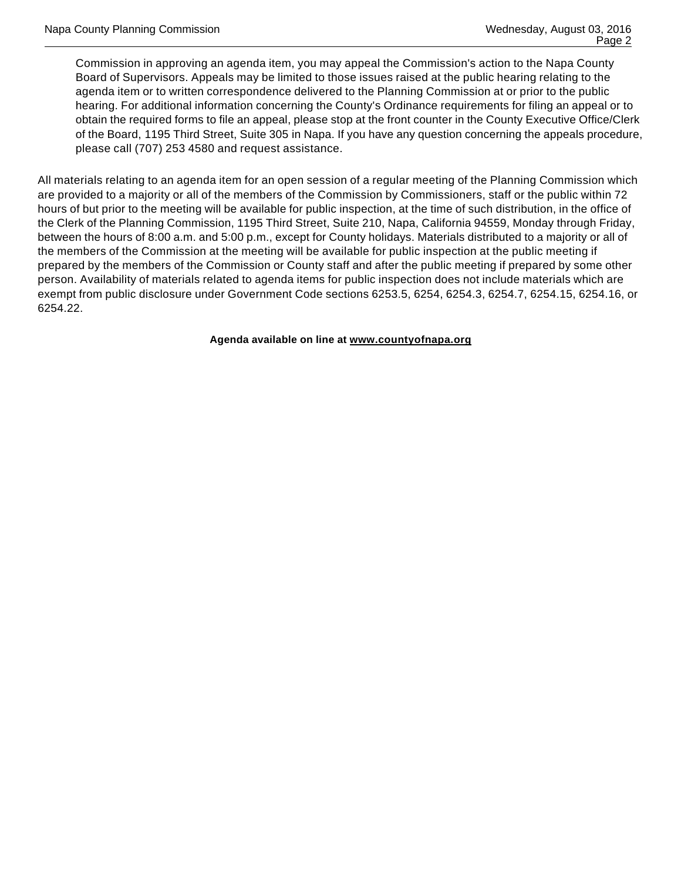Commission in approving an agenda item, you may appeal the Commission's action to the Napa County Board of Supervisors. Appeals may be limited to those issues raised at the public hearing relating to the agenda item or to written correspondence delivered to the Planning Commission at or prior to the public hearing. For additional information concerning the County's Ordinance requirements for filing an appeal or to obtain the required forms to file an appeal, please stop at the front counter in the County Executive Office/Clerk of the Board, 1195 Third Street, Suite 305 in Napa. If you have any question concerning the appeals procedure, please call (707) 253 4580 and request assistance.

All materials relating to an agenda item for an open session of a regular meeting of the Planning Commission which are provided to a majority or all of the members of the Commission by Commissioners, staff or the public within 72 hours of but prior to the meeting will be available for public inspection, at the time of such distribution, in the office of the Clerk of the Planning Commission, 1195 Third Street, Suite 210, Napa, California 94559, Monday through Friday, between the hours of 8:00 a.m. and 5:00 p.m., except for County holidays. Materials distributed to a majority or all of the members of the Commission at the meeting will be available for public inspection at the public meeting if prepared by the members of the Commission or County staff and after the public meeting if prepared by some other person. Availability of materials related to agenda items for public inspection does not include materials which are exempt from public disclosure under Government Code sections 6253.5, 6254, 6254.3, 6254.7, 6254.15, 6254.16, or 6254.22.

**Agenda available on line at www.countyofnapa.org**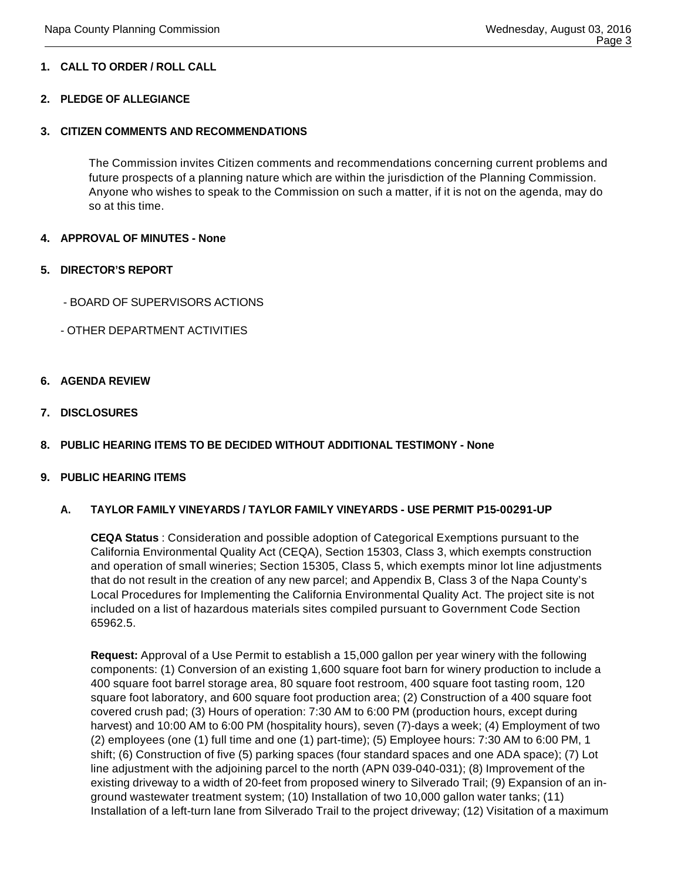#### **1. CALL TO ORDER / ROLL CALL**

#### **2. PLEDGE OF ALLEGIANCE**

#### **3. CITIZEN COMMENTS AND RECOMMENDATIONS**

The Commission invites Citizen comments and recommendations concerning current problems and future prospects of a planning nature which are within the jurisdiction of the Planning Commission. Anyone who wishes to speak to the Commission on such a matter, if it is not on the agenda, may do so at this time.

#### **4. APPROVAL OF MINUTES - None**

#### **5. DIRECTOR'S REPORT**

- BOARD OF SUPERVISORS ACTIONS
- OTHER DEPARTMENT ACTIVITIES

#### **6. AGENDA REVIEW**

**7. DISCLOSURES**

#### **8. PUBLIC HEARING ITEMS TO BE DECIDED WITHOUT ADDITIONAL TESTIMONY - None**

#### **9. PUBLIC HEARING ITEMS**

#### **A. TAYLOR FAMILY VINEYARDS / TAYLOR FAMILY VINEYARDS - USE PERMIT P15-00291-UP**

**CEQA Status** : Consideration and possible adoption of Categorical Exemptions pursuant to the California Environmental Quality Act (CEQA), Section 15303, Class 3, which exempts construction and operation of small wineries; Section 15305, Class 5, which exempts minor lot line adjustments that do not result in the creation of any new parcel; and Appendix B, Class 3 of the Napa County's Local Procedures for Implementing the California Environmental Quality Act. The project site is not included on a list of hazardous materials sites compiled pursuant to Government Code Section 65962.5.

**Request:** Approval of a Use Permit to establish a 15,000 gallon per year winery with the following components: (1) Conversion of an existing 1,600 square foot barn for winery production to include a 400 square foot barrel storage area, 80 square foot restroom, 400 square foot tasting room, 120 square foot laboratory, and 600 square foot production area; (2) Construction of a 400 square foot covered crush pad; (3) Hours of operation: 7:30 AM to 6:00 PM (production hours, except during harvest) and 10:00 AM to 6:00 PM (hospitality hours), seven (7)-days a week; (4) Employment of two (2) employees (one (1) full time and one (1) part-time); (5) Employee hours: 7:30 AM to 6:00 PM, 1 shift; (6) Construction of five (5) parking spaces (four standard spaces and one ADA space); (7) Lot line adjustment with the adjoining parcel to the north (APN 039-040-031); (8) Improvement of the existing driveway to a width of 20-feet from proposed winery to Silverado Trail; (9) Expansion of an inground wastewater treatment system; (10) Installation of two 10,000 gallon water tanks; (11) Installation of a left-turn lane from Silverado Trail to the project driveway; (12) Visitation of a maximum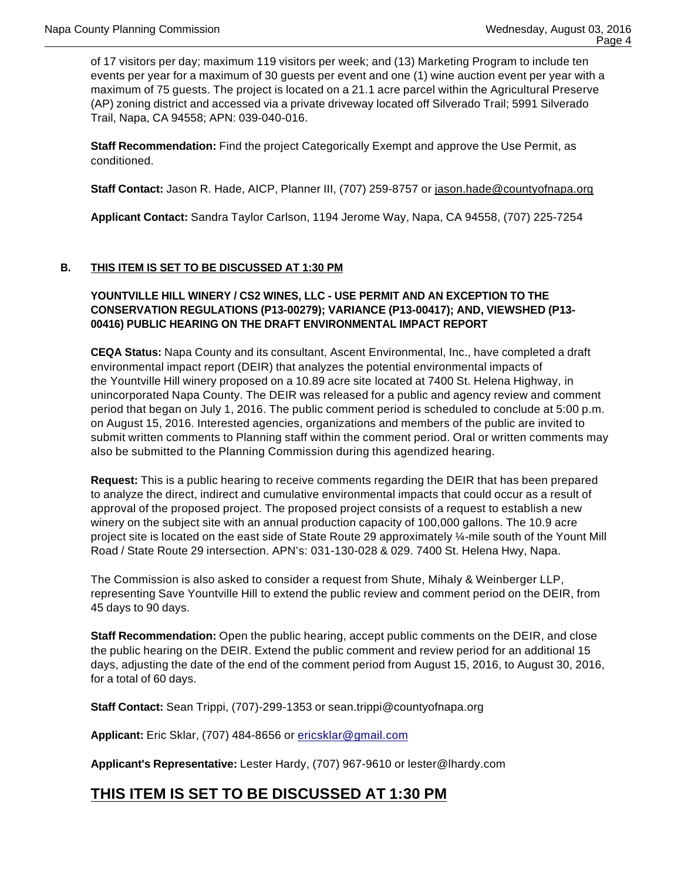of 17 visitors per day; maximum 119 visitors per week; and (13) Marketing Program to include ten events per year for a maximum of 30 guests per event and one (1) wine auction event per year with a maximum of 75 guests. The project is located on a 21.1 acre parcel within the Agricultural Preserve (AP) zoning district and accessed via a private driveway located off Silverado Trail; 5991 Silverado Trail, Napa, CA 94558; APN: 039-040-016.

**Staff Recommendation:** Find the project Categorically Exempt and approve the Use Permit, as conditioned.

**Staff Contact:** Jason R. Hade, AICP, Planner III, (707) 259-8757 or jason.hade@countyofnapa.org

**Applicant Contact:** Sandra Taylor Carlson, 1194 Jerome Way, Napa, CA 94558, (707) 225-7254

#### **B. THIS ITEM IS SET TO BE DISCUSSED AT 1:30 PM**

#### **YOUNTVILLE HILL WINERY / CS2 WINES, LLC - USE PERMIT AND AN EXCEPTION TO THE CONSERVATION REGULATIONS (P13-00279); VARIANCE (P13-00417); AND, VIEWSHED (P13- 00416) PUBLIC HEARING ON THE DRAFT ENVIRONMENTAL IMPACT REPORT**

**CEQA Status:** Napa County and its consultant, Ascent Environmental, Inc., have completed a draft environmental impact report (DEIR) that analyzes the potential environmental impacts of the Yountville Hill winery proposed on a 10.89 acre site located at 7400 St. Helena Highway, in unincorporated Napa County. The DEIR was released for a public and agency review and comment period that began on July 1, 2016. The public comment period is scheduled to conclude at 5:00 p.m. on August 15, 2016. Interested agencies, organizations and members of the public are invited to submit written comments to Planning staff within the comment period. Oral or written comments may also be submitted to the Planning Commission during this agendized hearing.

**Request:** This is a public hearing to receive comments regarding the DEIR that has been prepared to analyze the direct, indirect and cumulative environmental impacts that could occur as a result of approval of the proposed project. The proposed project consists of a request to establish a new winery on the subject site with an annual production capacity of 100,000 gallons. The 10.9 acre project site is located on the east side of State Route 29 approximately ¼-mile south of the Yount Mill Road / State Route 29 intersection. APN's: 031-130-028 & 029. 7400 St. Helena Hwy, Napa.

The Commission is also asked to consider a request from Shute, Mihaly & Weinberger LLP, representing Save Yountville Hill to extend the public review and comment period on the DEIR, from 45 days to 90 days.

**Staff Recommendation:** Open the public hearing, accept public comments on the DEIR, and close the public hearing on the DEIR. Extend the public comment and review period for an additional 15 days, adjusting the date of the end of the comment period from August 15, 2016, to August 30, 2016, for a total of 60 days.

**Staff Contact:** Sean Trippi, (707)-299-1353 or sean.trippi@countyofnapa.org

**Applicant:** Eric Sklar, (707) 484-8656 or ericsklar@gmail.com

**Applicant's Representative:** Lester Hardy, (707) 967-9610 or lester@lhardy.com

### **THIS ITEM IS SET TO BE DISCUSSED AT 1:30 PM**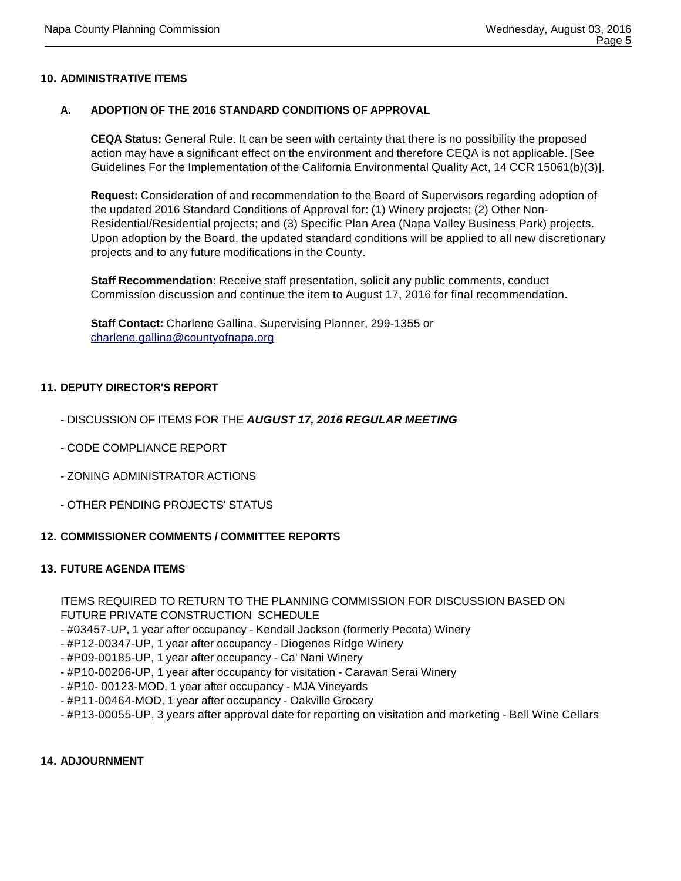#### **10. ADMINISTRATIVE ITEMS**

#### **A. ADOPTION OF THE 2016 STANDARD CONDITIONS OF APPROVAL**

**CEQA Status:** General Rule. It can be seen with certainty that there is no possibility the proposed action may have a significant effect on the environment and therefore CEQA is not applicable. [See Guidelines For the Implementation of the California Environmental Quality Act, 14 CCR 15061(b)(3)].

**Request:** Consideration of and recommendation to the Board of Supervisors regarding adoption of the updated 2016 Standard Conditions of Approval for: (1) Winery projects; (2) Other Non-Residential/Residential projects; and (3) Specific Plan Area (Napa Valley Business Park) projects. Upon adoption by the Board, the updated standard conditions will be applied to all new discretionary projects and to any future modifications in the County.

**Staff Recommendation:** Receive staff presentation, solicit any public comments, conduct Commission discussion and continue the item to August 17, 2016 for final recommendation.

**Staff Contact:** Charlene Gallina, Supervising Planner, 299-1355 or charlene.gallina@countyofnapa.org

#### **11. DEPUTY DIRECTOR'S REPORT**

- DISCUSSION OF ITEMS FOR THE **AUGUST 17, 2016 REGULAR MEETING**
- CODE COMPLIANCE REPORT
- ZONING ADMINISTRATOR ACTIONS
- OTHER PENDING PROJECTS' STATUS

#### **12. COMMISSIONER COMMENTS / COMMITTEE REPORTS**

#### **13. FUTURE AGENDA ITEMS**

ITEMS REQUIRED TO RETURN TO THE PLANNING COMMISSION FOR DISCUSSION BASED ON FUTURE PRIVATE CONSTRUCTION SCHEDULE

- #03457-UP, 1 year after occupancy - Kendall Jackson (formerly Pecota) Winery

- #P12-00347-UP, 1 year after occupancy Diogenes Ridge Winery
- #P09-00185-UP, 1 year after occupancy Ca' Nani Winery
- #P10-00206-UP, 1 year after occupancy for visitation Caravan Serai Winery
- #P10- 00123-MOD, 1 year after occupancy MJA Vineyards
- #P11-00464-MOD, 1 year after occupancy Oakville Grocery
- #P13-00055-UP, 3 years after approval date for reporting on visitation and marketing Bell Wine Cellars

#### **14. ADJOURNMENT**